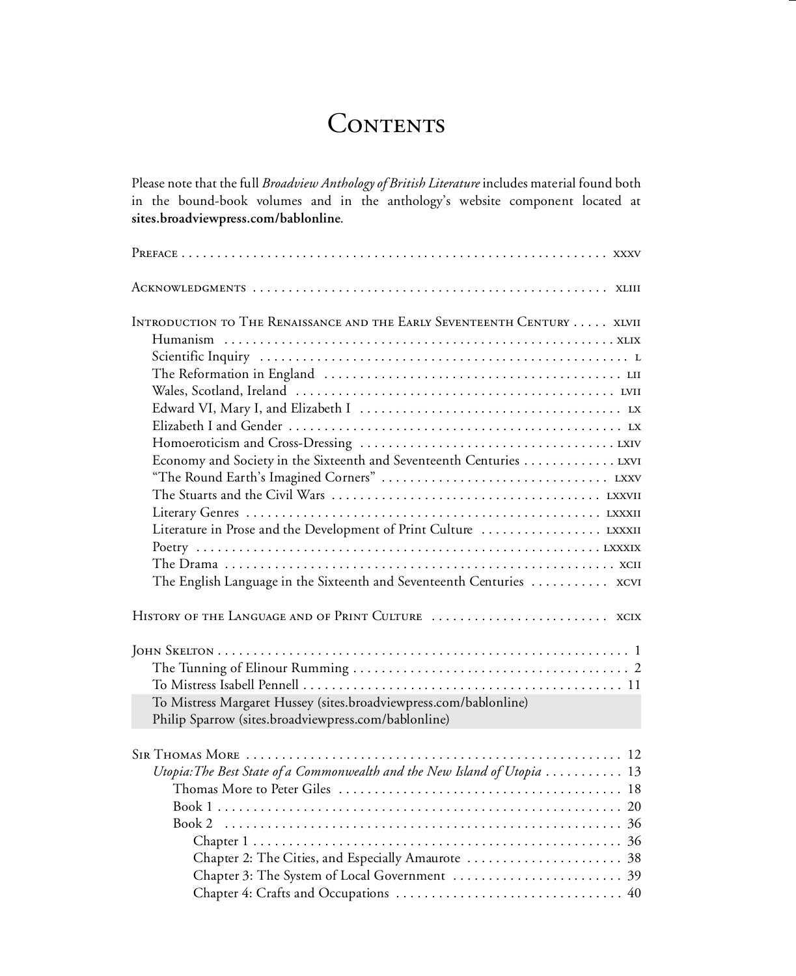# CONTENTS

Please note that the full *Broadview Anthology of British Literature* includes material found both in the bound-book volumes and in the anthology's website component located at **sites.broadviewpress.com/bablonline**.

| INTRODUCTION TO THE RENAISSANCE AND THE EARLY SEVENTEENTH CENTURY XLVII                         |
|-------------------------------------------------------------------------------------------------|
|                                                                                                 |
|                                                                                                 |
|                                                                                                 |
|                                                                                                 |
|                                                                                                 |
|                                                                                                 |
|                                                                                                 |
|                                                                                                 |
|                                                                                                 |
|                                                                                                 |
|                                                                                                 |
|                                                                                                 |
|                                                                                                 |
|                                                                                                 |
| The English Language in the Sixteenth and Seventeenth Centuries  xcvi                           |
|                                                                                                 |
|                                                                                                 |
|                                                                                                 |
|                                                                                                 |
| To Mistress Margaret Hussey (sites.broadviewpress.com/bablonline)                               |
| Philip Sparrow (sites.broadviewpress.com/bablonline)                                            |
|                                                                                                 |
|                                                                                                 |
| Utopia: The Best State of a Commonwealth and the New Island of Utopia $\ldots \ldots \ldots 13$ |
|                                                                                                 |
|                                                                                                 |
|                                                                                                 |
|                                                                                                 |
|                                                                                                 |
|                                                                                                 |
|                                                                                                 |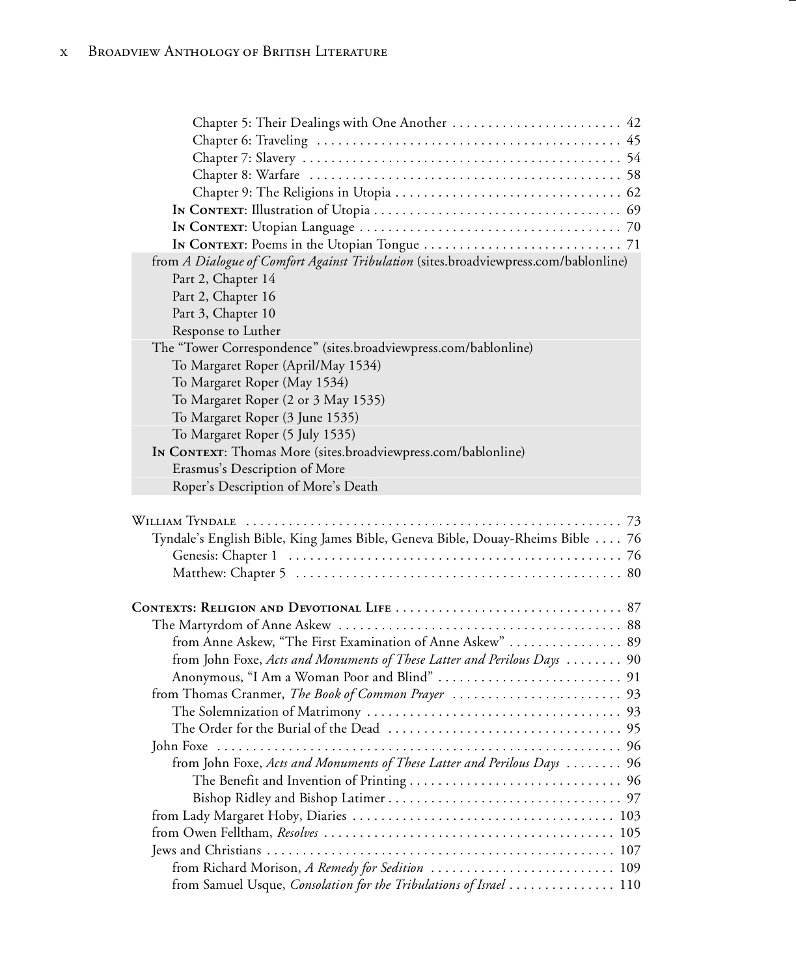| Chapter 5: Their Dealings with One Another  42                                       |    |
|--------------------------------------------------------------------------------------|----|
|                                                                                      |    |
|                                                                                      |    |
|                                                                                      |    |
|                                                                                      |    |
|                                                                                      |    |
|                                                                                      |    |
|                                                                                      |    |
| from A Dialogue of Comfort Against Tribulation (sites.broadviewpress.com/bablonline) |    |
| Part 2, Chapter 14                                                                   |    |
| Part 2, Chapter 16                                                                   |    |
| Part 3, Chapter 10                                                                   |    |
| Response to Luther                                                                   |    |
| The "Tower Correspondence" (sites.broadviewpress.com/bablonline)                     |    |
| To Margaret Roper (April/May 1534)                                                   |    |
| To Margaret Roper (May 1534)                                                         |    |
| To Margaret Roper (2 or 3 May 1535)                                                  |    |
| To Margaret Roper (3 June 1535)                                                      |    |
| To Margaret Roper (5 July 1535)                                                      |    |
| IN CONTEXT: Thomas More (sites.broadviewpress.com/bablonline)                        |    |
| Erasmus's Description of More                                                        |    |
| Roper's Description of More's Death                                                  |    |
| Tyndale's English Bible, King James Bible, Geneva Bible, Douay-Rheims Bible  76      |    |
|                                                                                      |    |
|                                                                                      |    |
| from Anne Askew, "The First Examination of Anne Askew"  89                           |    |
| from John Foxe, Acts and Monuments of These Latter and Perilous Days  90             |    |
|                                                                                      |    |
|                                                                                      |    |
|                                                                                      |    |
|                                                                                      |    |
| John Foxe                                                                            | 96 |
| from John Foxe, Acts and Monuments of These Latter and Perilous Days  96             |    |
|                                                                                      |    |
|                                                                                      |    |
|                                                                                      |    |
|                                                                                      |    |
|                                                                                      |    |
|                                                                                      |    |
| from Richard Morison, A Remedy for Sedition  109                                     |    |
| from Samuel Usque, Consolation for the Tribulations of Israel  110                   |    |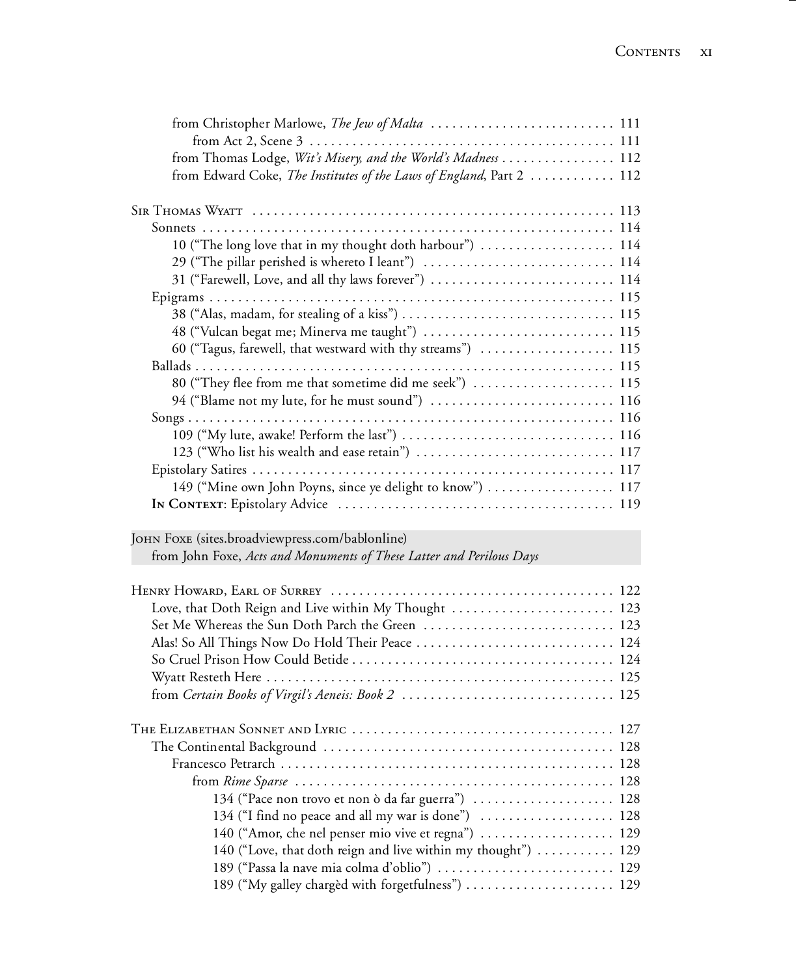| from Thomas Lodge, Wit's Misery, and the World's Madness  112        |  |
|----------------------------------------------------------------------|--|
| from Edward Coke, The Institutes of the Laws of England, Part 2  112 |  |
|                                                                      |  |
|                                                                      |  |
|                                                                      |  |
| 10 ("The long love that in my thought doth harbour")  114            |  |
| 29 ("The pillar perished is whereto I leant")  114                   |  |
| 31 ("Farewell, Love, and all thy laws forever")  114                 |  |
|                                                                      |  |
|                                                                      |  |
| 48 ("Vulcan begat me; Minerva me taught")  115                       |  |
| 60 ("Tagus, farewell, that westward with thy streams")  115          |  |
|                                                                      |  |
| 80 ("They flee from me that sometime did me seek")  115              |  |
| 94 ("Blame not my lute, for he must sound")  116                     |  |
|                                                                      |  |
|                                                                      |  |
| 123 ("Who list his wealth and ease retain")  117                     |  |
|                                                                      |  |
| 149 ("Mine own John Poyns, since ye delight to know")  117           |  |
|                                                                      |  |
|                                                                      |  |
| JOHN FOXE (sites.broadviewpress.com/bablonline)                      |  |
| from John Foxe, Acts and Monuments of These Latter and Perilous Days |  |
|                                                                      |  |
|                                                                      |  |
| Love, that Doth Reign and Live within My Thought  123                |  |
| Set Me Whereas the Sun Doth Parch the Green  123                     |  |
|                                                                      |  |
|                                                                      |  |
|                                                                      |  |
|                                                                      |  |
|                                                                      |  |
|                                                                      |  |
|                                                                      |  |
|                                                                      |  |
|                                                                      |  |
| 134 ("Pace non trovo et non ò da far guerra")  128                   |  |
| 134 ("I find no peace and all my war is done")  128                  |  |
| 140 ("Amor, che nel penser mio vive et regna")  129                  |  |
| 140 ("Love, that doth reign and live within my thought")  129        |  |
|                                                                      |  |

189 ("Passa la nave mia colma d'oblio") ................. ........ 129 189 ("My galley chargèd with forgetfulness") ................. .... 129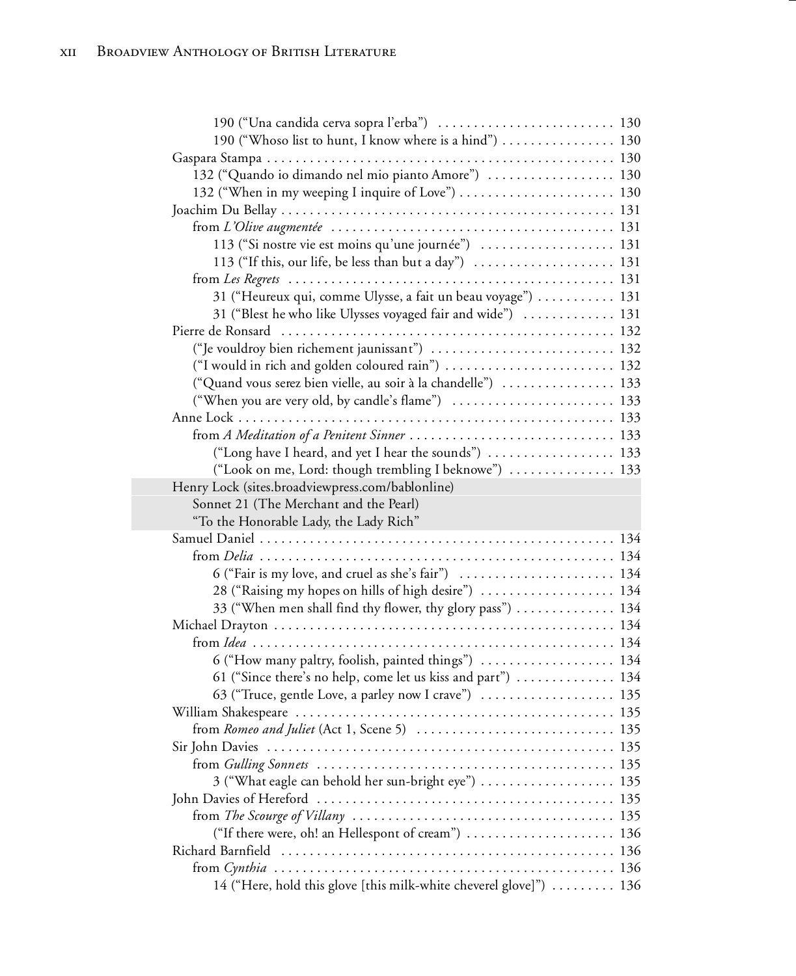| 190 ("Una candida cerva sopra l'erba")  130                                         |  |
|-------------------------------------------------------------------------------------|--|
| 190 ("Whoso list to hunt, I know where is a hind")  130                             |  |
|                                                                                     |  |
| 132 ("Quando io dimando nel mio pianto Amore")  130                                 |  |
|                                                                                     |  |
|                                                                                     |  |
|                                                                                     |  |
| 113 ("Si nostre vie est moins qu'une journée") $\dots\dots\dots\dots\dots\dots$ 131 |  |
| 113 ("If this, our life, be less than but a day")  131                              |  |
|                                                                                     |  |
| 31 ("Heureux qui, comme Ulysse, a fait un beau voyage")  131                        |  |
| 31 ("Blest he who like Ulysses voyaged fair and wide")  131                         |  |
|                                                                                     |  |
| ("Je vouldroy bien richement jaunissant")  132                                      |  |
| ("I would in rich and golden coloured rain")  132                                   |  |
| ("Quand vous serez bien vielle, au soir à la chandelle")  133                       |  |
| ("When you are very old, by candle's flame")  133                                   |  |
|                                                                                     |  |
|                                                                                     |  |
| ("Long have I heard, and yet I hear the sounds")  133                               |  |
| ("Look on me, Lord: though trembling I beknowe")  133                               |  |
| Henry Lock (sites.broadviewpress.com/bablonline)                                    |  |
| Sonnet 21 (The Merchant and the Pearl)                                              |  |
| "To the Honorable Lady, the Lady Rich"                                              |  |
|                                                                                     |  |
|                                                                                     |  |
| 6 ("Fair is my love, and cruel as she's fair")  134                                 |  |
| 28 ("Raising my hopes on hills of high desire")  134                                |  |
| 33 ("When men shall find thy flower, thy glory pass")  134                          |  |
|                                                                                     |  |
|                                                                                     |  |
| 6 ("How many paltry, foolish, painted things")  134                                 |  |
| 61 ("Since there's no help, come let us kiss and part")  134                        |  |
| 63 ("Truce, gentle Love, a parley now I crave")  135                                |  |
|                                                                                     |  |
|                                                                                     |  |
|                                                                                     |  |
|                                                                                     |  |
| 3 ("What eagle can behold her sun-bright eye")  135                                 |  |
|                                                                                     |  |
|                                                                                     |  |
| ("If there were, oh! an Hellespont of cream")  136                                  |  |
|                                                                                     |  |
| 14 ("Here, hold this glove [this milk-white cheverel glove]")  136                  |  |
|                                                                                     |  |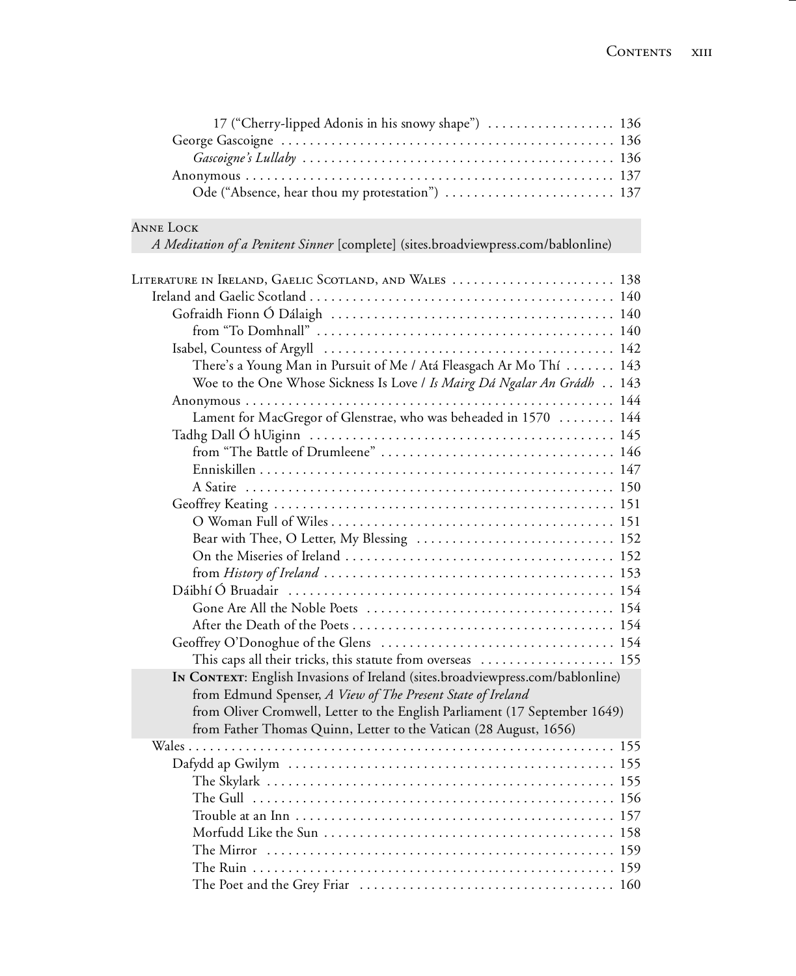| 17 ("Cherry-lipped Adonis in his snowy shape")  136 |  |
|-----------------------------------------------------|--|
|                                                     |  |
|                                                     |  |
|                                                     |  |
| Ode ("Absence, hear thou my protestation")  137     |  |

## Anne Lock

*A Meditation of a Penitent Sinner* [complete] (sites.broadviewpress.com/bablonline)

| LITERATURE IN IRELAND, GAELIC SCOTLAND, AND WALES  138                         |  |
|--------------------------------------------------------------------------------|--|
|                                                                                |  |
|                                                                                |  |
|                                                                                |  |
|                                                                                |  |
| There's a Young Man in Pursuit of Me / Atá Fleasgach Ar Mo Thí 143             |  |
| Woe to the One Whose Sickness Is Love / Is Mairg Dá Ngalar An Grádh 143        |  |
|                                                                                |  |
| Lament for MacGregor of Glenstrae, who was beheaded in 1570  144               |  |
|                                                                                |  |
|                                                                                |  |
|                                                                                |  |
|                                                                                |  |
|                                                                                |  |
|                                                                                |  |
| Bear with Thee, O Letter, My Blessing  152                                     |  |
|                                                                                |  |
|                                                                                |  |
|                                                                                |  |
|                                                                                |  |
|                                                                                |  |
|                                                                                |  |
| This caps all their tricks, this statute from overseas  155                    |  |
| IN CONTEXT: English Invasions of Ireland (sites.broadviewpress.com/bablonline) |  |
| from Edmund Spenser, A View of The Present State of Ireland                    |  |
| from Oliver Cromwell, Letter to the English Parliament (17 September 1649)     |  |
| from Father Thomas Quinn, Letter to the Vatican (28 August, 1656)              |  |
|                                                                                |  |
|                                                                                |  |
|                                                                                |  |
|                                                                                |  |
|                                                                                |  |
|                                                                                |  |
|                                                                                |  |
|                                                                                |  |
|                                                                                |  |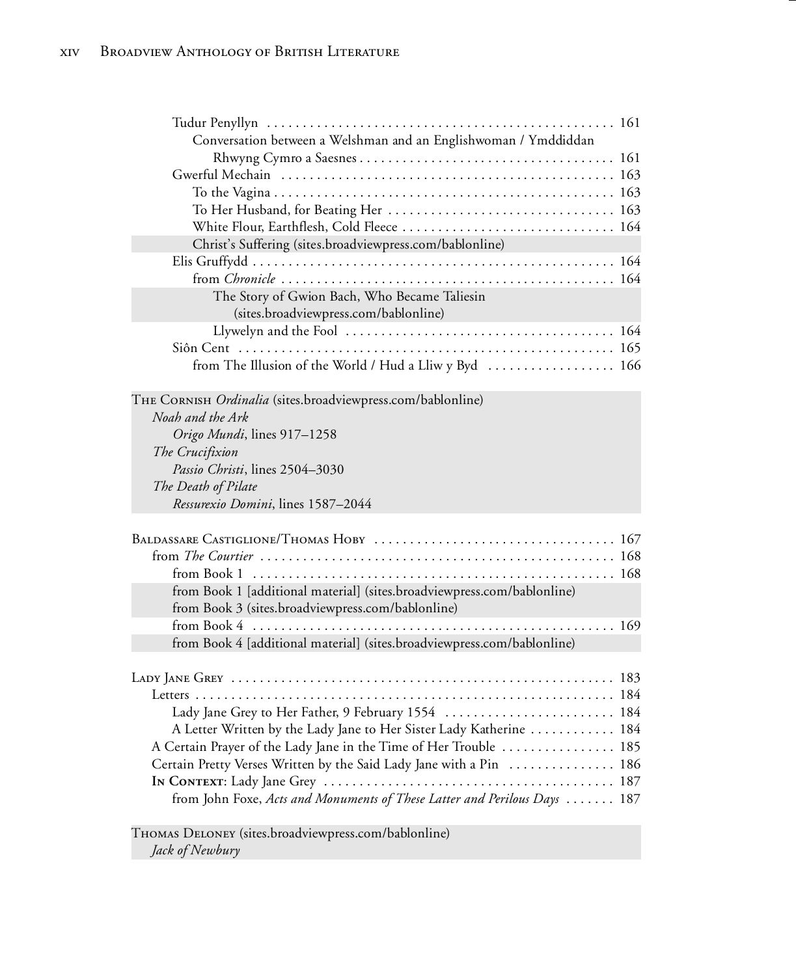| Conversation between a Welshman and an Englishwoman / Ymddiddan           |  |
|---------------------------------------------------------------------------|--|
|                                                                           |  |
|                                                                           |  |
|                                                                           |  |
|                                                                           |  |
| Christ's Suffering (sites.broadviewpress.com/bablonline)                  |  |
|                                                                           |  |
|                                                                           |  |
| The Story of Gwion Bach, Who Became Taliesin                              |  |
| (sites.broadviewpress.com/bablonline)                                     |  |
|                                                                           |  |
|                                                                           |  |
| from The Illusion of the World / Hud a Lliw y Byd  166                    |  |
|                                                                           |  |
| THE CORNISH Ordinalia (sites.broadviewpress.com/bablonline)               |  |
| Noah and the Ark                                                          |  |
| Origo Mundi, lines 917-1258                                               |  |
| The Crucifixion                                                           |  |
| Passio Christi, lines 2504-3030                                           |  |
| The Death of Pilate                                                       |  |
| Ressurexio Domini, lines 1587-2044                                        |  |
|                                                                           |  |
|                                                                           |  |
|                                                                           |  |
| from Book 1 [additional material] (sites.broadviewpress.com/bablonline)   |  |
| from Book 3 (sites.broadviewpress.com/bablonline)                         |  |
|                                                                           |  |
| from Book 4 [additional material] (sites.broadviewpress.com/bablonline)   |  |
|                                                                           |  |
|                                                                           |  |
|                                                                           |  |
| Lady Jane Grey to Her Father, 9 February 1554  184                        |  |
| A Letter Written by the Lady Jane to Her Sister Lady Katherine  184       |  |
| A Certain Prayer of the Lady Jane in the Time of Her Trouble  185         |  |
| Certain Pretty Verses Written by the Said Lady Jane with a Pin  186       |  |
|                                                                           |  |
| from John Foxe, Acts and Monuments of These Latter and Perilous Days  187 |  |

Thomas Deloney (sites.broadviewpress.com/bablonline) *Jack of Newbury*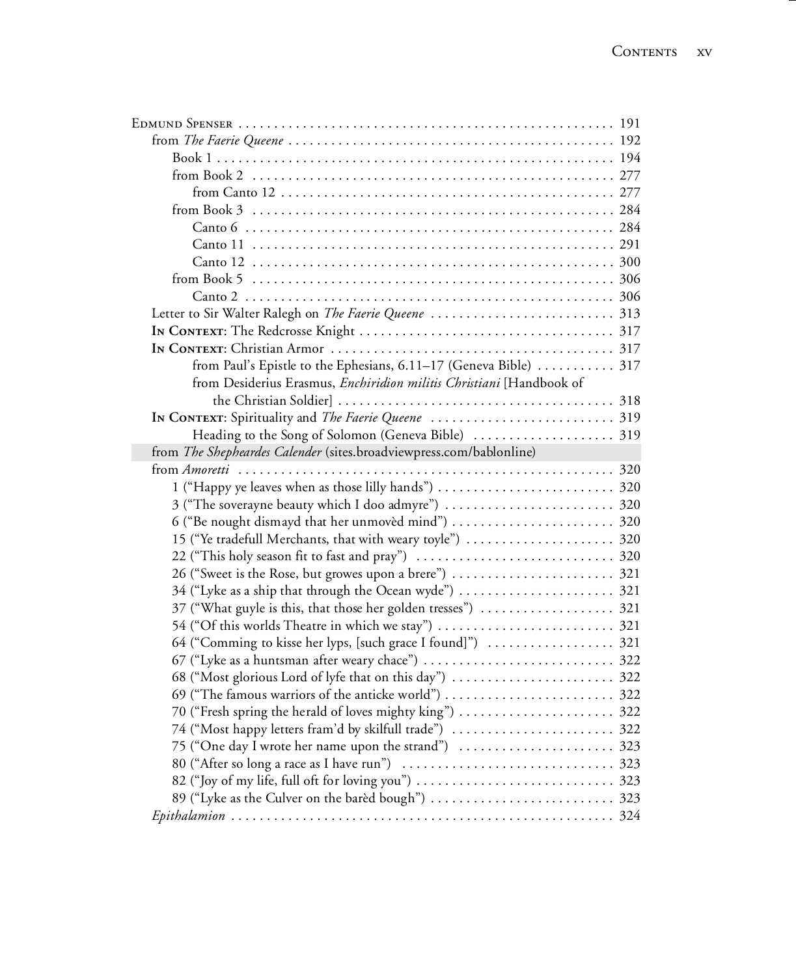| from Paul's Epistle to the Ephesians, 6.11-17 (Geneva Bible)  317    |  |
|----------------------------------------------------------------------|--|
| from Desiderius Erasmus, Enchiridion militis Christiani [Handbook of |  |
|                                                                      |  |
|                                                                      |  |
|                                                                      |  |
| from The Shepheardes Calender (sites.broadviewpress.com/bablonline)  |  |
|                                                                      |  |
|                                                                      |  |
| 3 ("The soverayne beauty which I doo admyre")  320                   |  |
|                                                                      |  |
| 15 ("Ye tradefull Merchants, that with weary toyle")  320            |  |
|                                                                      |  |
|                                                                      |  |
| 34 ("Lyke as a ship that through the Ocean wyde")  321               |  |
| 37 ("What guyle is this, that those her golden tresses")  321        |  |
|                                                                      |  |
| 64 ("Comming to kisse her lyps, [such grace I found]")  321          |  |
|                                                                      |  |
|                                                                      |  |
| 69 ("The famous warriors of the anticke world")  322                 |  |
|                                                                      |  |
| 74 ("Most happy letters fram'd by skilfull trade")  322              |  |
|                                                                      |  |
|                                                                      |  |
|                                                                      |  |
|                                                                      |  |
|                                                                      |  |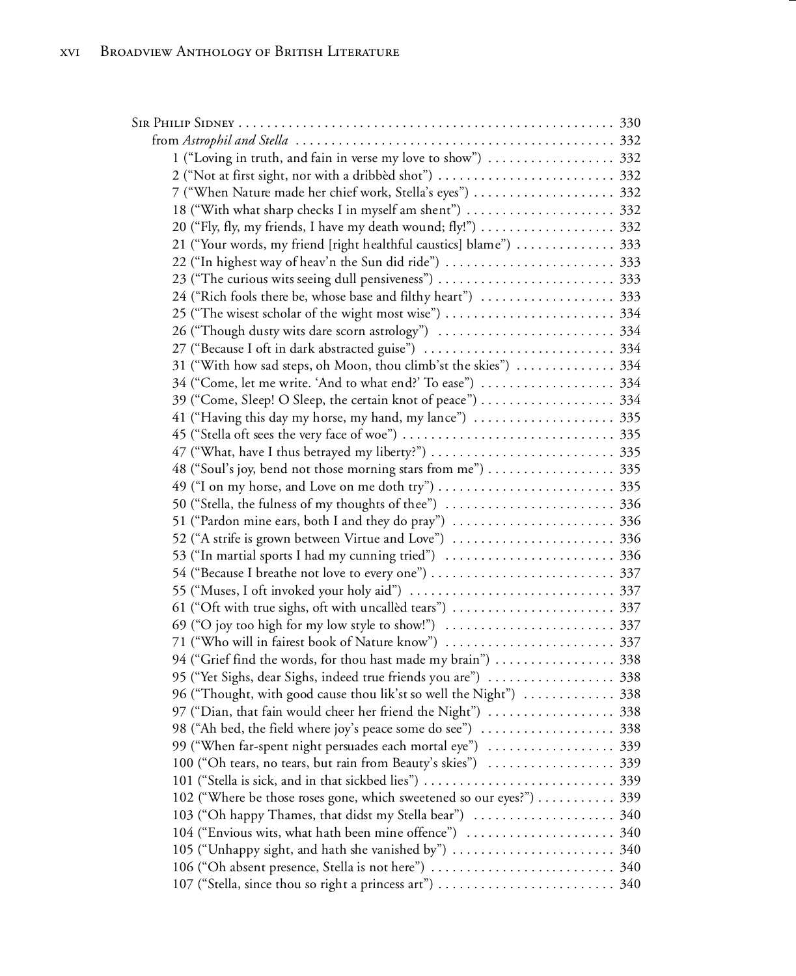| 1 ("Loving in truth, and fain in verse my love to show")  332        |  |
|----------------------------------------------------------------------|--|
|                                                                      |  |
| 7 ("When Nature made her chief work, Stella's eyes")  332            |  |
|                                                                      |  |
|                                                                      |  |
| 21 ("Your words, my friend [right healthful caustics] blame")  333   |  |
|                                                                      |  |
|                                                                      |  |
|                                                                      |  |
|                                                                      |  |
|                                                                      |  |
|                                                                      |  |
| 31 ("With how sad steps, oh Moon, thou climb'st the skies")  334     |  |
|                                                                      |  |
|                                                                      |  |
| 41 ("Having this day my horse, my hand, my lance")  335              |  |
|                                                                      |  |
|                                                                      |  |
|                                                                      |  |
|                                                                      |  |
|                                                                      |  |
|                                                                      |  |
|                                                                      |  |
| 53 ("In martial sports I had my cunning tried")  336                 |  |
|                                                                      |  |
|                                                                      |  |
|                                                                      |  |
|                                                                      |  |
|                                                                      |  |
| 94 ("Grief find the words, for thou hast made my brain")  338        |  |
| 95 ("Yet Sighs, dear Sighs, indeed true friends you are")  338       |  |
| 96 ("Thought, with good cause thou lik'st so well the Night")  338   |  |
| 97 ("Dian, that fain would cheer her friend the Night")  338         |  |
|                                                                      |  |
| 99 ("When far-spent night persuades each mortal eye")  339           |  |
| 100 ("Oh tears, no tears, but rain from Beauty's skies")  339        |  |
|                                                                      |  |
| 102 ("Where be those roses gone, which sweetened so our eyes?")  339 |  |
|                                                                      |  |
|                                                                      |  |
|                                                                      |  |
|                                                                      |  |
|                                                                      |  |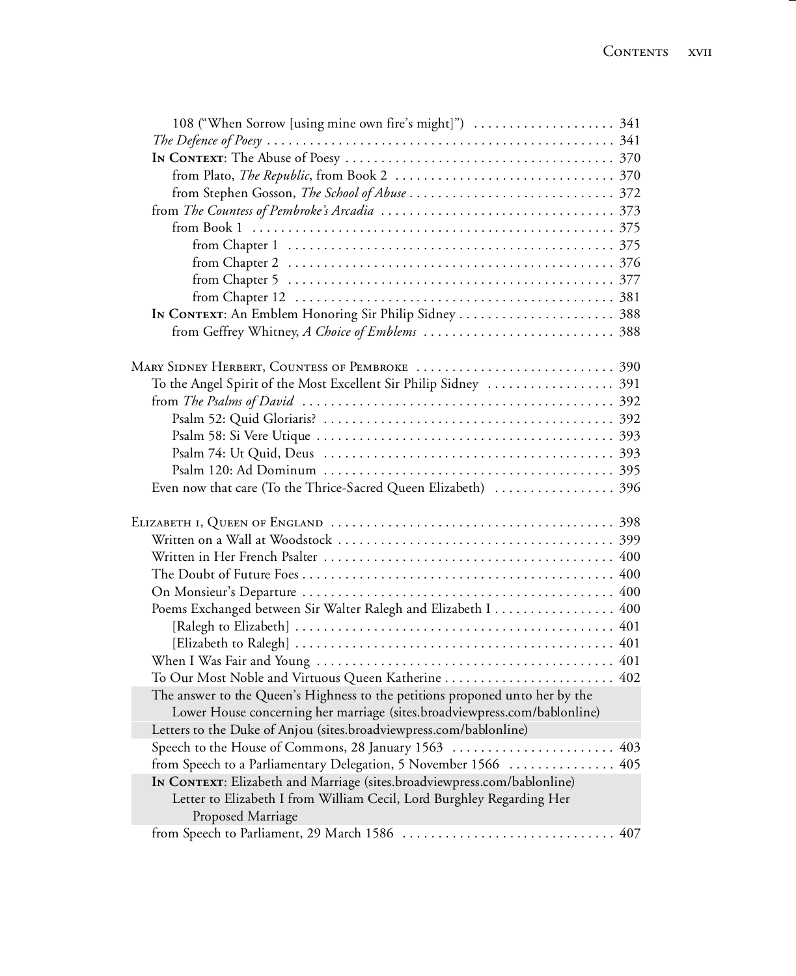| To the Angel Spirit of the Most Excellent Sir Philip Sidney  391             |  |
|------------------------------------------------------------------------------|--|
|                                                                              |  |
|                                                                              |  |
|                                                                              |  |
|                                                                              |  |
|                                                                              |  |
| Even now that care (To the Thrice-Sacred Queen Elizabeth)  396               |  |
|                                                                              |  |
|                                                                              |  |
|                                                                              |  |
|                                                                              |  |
|                                                                              |  |
| Poems Exchanged between Sir Walter Ralegh and Elizabeth I 400                |  |
|                                                                              |  |
|                                                                              |  |
|                                                                              |  |
| To Our Most Noble and Virtuous Queen Katherine  402                          |  |
| The answer to the Queen's Highness to the petitions proponed unto her by the |  |
| Lower House concerning her marriage (sites.broadviewpress.com/bablonline)    |  |
| Letters to the Duke of Anjou (sites.broadviewpress.com/bablonline)           |  |
|                                                                              |  |
| from Speech to a Parliamentary Delegation, 5 November 1566  405              |  |
| IN CONTEXT: Elizabeth and Marriage (sites.broadviewpress.com/bablonline)     |  |
| Letter to Elizabeth I from William Cecil, Lord Burghley Regarding Her        |  |
| Proposed Marriage                                                            |  |
|                                                                              |  |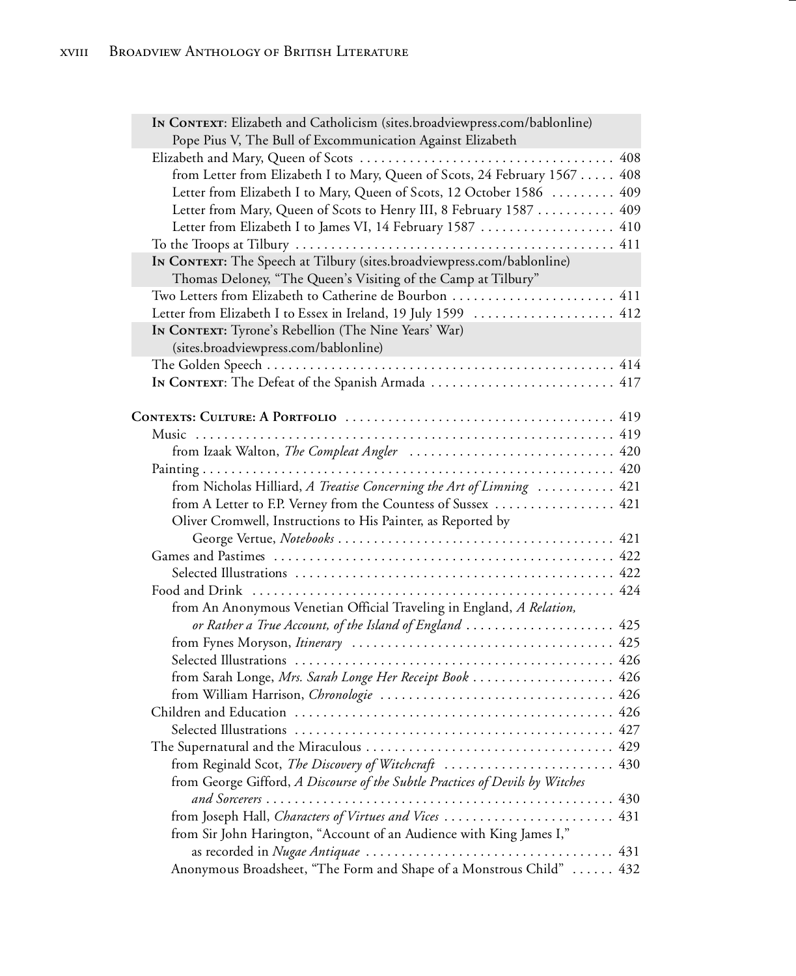| IN CONTEXT: Elizabeth and Catholicism (sites.broadviewpress.com/bablonline)<br>Pope Pius V, The Bull of Excommunication Against Elizabeth |
|-------------------------------------------------------------------------------------------------------------------------------------------|
| 408                                                                                                                                       |
| from Letter from Elizabeth I to Mary, Queen of Scots, 24 February 1567  408                                                               |
| Letter from Elizabeth I to Mary, Queen of Scots, 12 October 1586<br>409                                                                   |
| 409                                                                                                                                       |
| Letter from Mary, Queen of Scots to Henry III, 8 February 1587                                                                            |
| Letter from Elizabeth I to James VI, 14 February 1587  410                                                                                |
|                                                                                                                                           |
| IN CONTEXT: The Speech at Tilbury (sites.broadviewpress.com/bablonline)                                                                   |
| Thomas Deloney, "The Queen's Visiting of the Camp at Tilbury"<br>Two Letters from Elizabeth to Catherine de Bourbon  411                  |
|                                                                                                                                           |
| Letter from Elizabeth I to Essex in Ireland, 19 July 1599  412                                                                            |
| In CONTEXT: Tyrone's Rebellion (The Nine Years' War)                                                                                      |
| (sites.broadviewpress.com/bablonline)                                                                                                     |
|                                                                                                                                           |
|                                                                                                                                           |
|                                                                                                                                           |
|                                                                                                                                           |
| from Izaak Walton, The Compleat Angler  420                                                                                               |
|                                                                                                                                           |
|                                                                                                                                           |
| from Nicholas Hilliard, A Treatise Concerning the Art of Limning  421                                                                     |
| from A Letter to F.P. Verney from the Countess of Sussex  421                                                                             |
| Oliver Cromwell, Instructions to His Painter, as Reported by                                                                              |
|                                                                                                                                           |
|                                                                                                                                           |
|                                                                                                                                           |
|                                                                                                                                           |
| from An Anonymous Venetian Official Traveling in England, A Relation,                                                                     |
| or Rather a True Account, of the Island of England  425                                                                                   |
|                                                                                                                                           |
|                                                                                                                                           |
| from Sarah Longe, Mrs. Sarah Longe Her Receipt Book  426                                                                                  |
|                                                                                                                                           |
|                                                                                                                                           |
|                                                                                                                                           |
| The Supernatural and the Miraculous $\ldots \ldots \ldots \ldots \ldots \ldots \ldots \ldots \ldots \ldots$ 429                           |
| from Reginald Scot, The Discovery of Witchcraft  430                                                                                      |
| from George Gifford, A Discourse of the Subtle Practices of Devils by Witches                                                             |
|                                                                                                                                           |
| from Joseph Hall, Characters of Virtues and Vices  431                                                                                    |
| from Sir John Harington, "Account of an Audience with King James I,"                                                                      |
|                                                                                                                                           |
| Anonymous Broadsheet, "The Form and Shape of a Monstrous Child"  432                                                                      |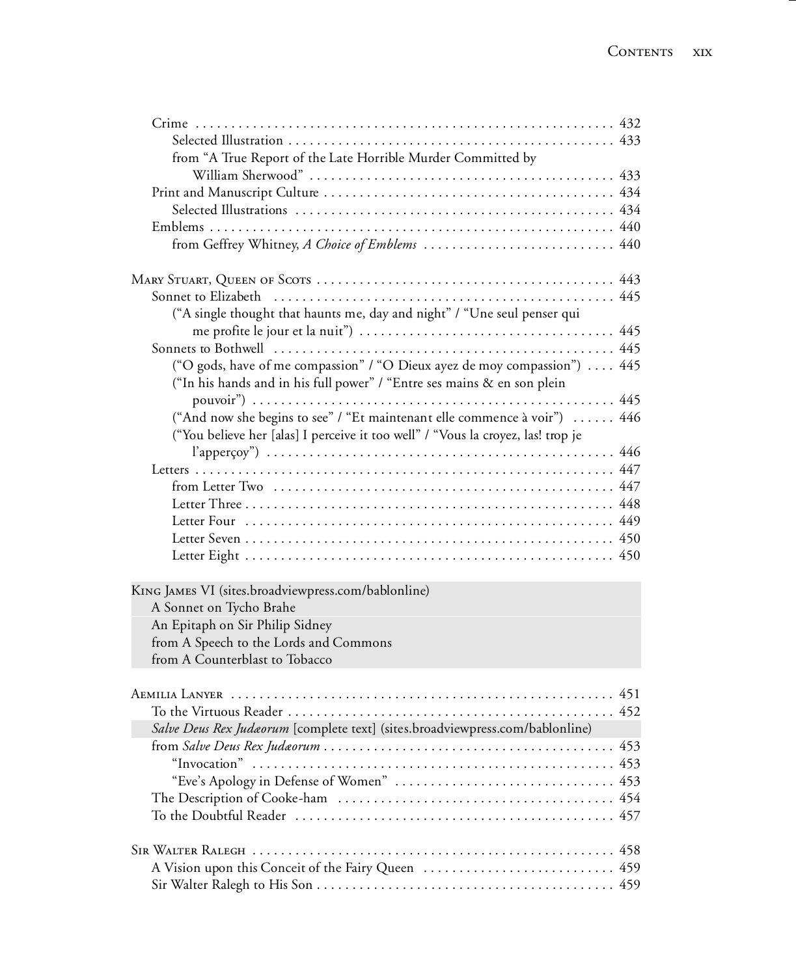| from "A True Report of the Late Horrible Murder Committed by                                                                                                  |  |
|---------------------------------------------------------------------------------------------------------------------------------------------------------------|--|
|                                                                                                                                                               |  |
|                                                                                                                                                               |  |
|                                                                                                                                                               |  |
|                                                                                                                                                               |  |
| from Geffrey Whitney, A Choice of Emblems  440                                                                                                                |  |
|                                                                                                                                                               |  |
|                                                                                                                                                               |  |
| ("A single thought that haunts me, day and night" / "Une seul penser qui                                                                                      |  |
|                                                                                                                                                               |  |
| ("O gods, have of me compassion" / "O Dieux ayez de moy compassion")  445                                                                                     |  |
| ("In his hands and in his full power" / "Entre ses mains & en son plein                                                                                       |  |
|                                                                                                                                                               |  |
| ("And now she begins to see" / "Et maintenant elle commence à voir")  446<br>("You believe her [alas] I perceive it too well" / "Vous la croyez, las! trop je |  |
|                                                                                                                                                               |  |
|                                                                                                                                                               |  |
|                                                                                                                                                               |  |
|                                                                                                                                                               |  |
|                                                                                                                                                               |  |
|                                                                                                                                                               |  |
|                                                                                                                                                               |  |
| KING JAMES VI (sites.broadviewpress.com/bablonline)                                                                                                           |  |
| A Sonnet on Tycho Brahe                                                                                                                                       |  |
| An Epitaph on Sir Philip Sidney                                                                                                                               |  |
| from A Speech to the Lords and Commons                                                                                                                        |  |
| from A Counterblast to Tobacco                                                                                                                                |  |
|                                                                                                                                                               |  |
|                                                                                                                                                               |  |
| Salve Deus Rex Judaorum [complete text] (sites.broadviewpress.com/bablonline)                                                                                 |  |
|                                                                                                                                                               |  |
|                                                                                                                                                               |  |
|                                                                                                                                                               |  |
|                                                                                                                                                               |  |
|                                                                                                                                                               |  |
|                                                                                                                                                               |  |
|                                                                                                                                                               |  |
|                                                                                                                                                               |  |
|                                                                                                                                                               |  |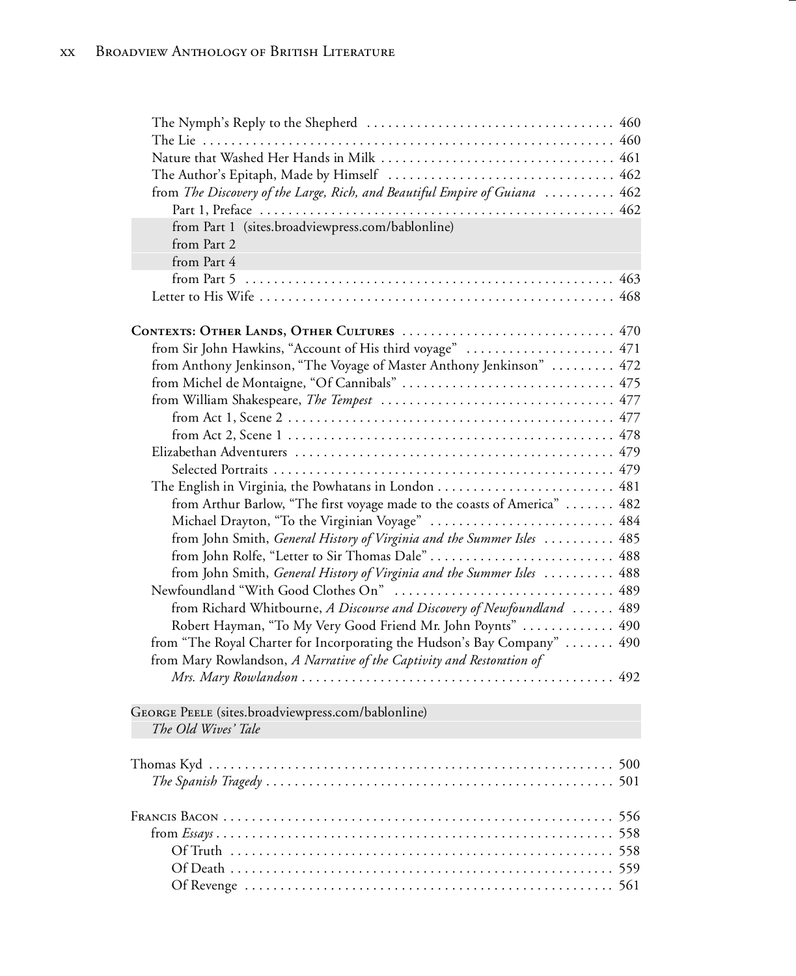| from The Discovery of the Large, Rich, and Beautiful Empire of Guiana  462 |  |
|----------------------------------------------------------------------------|--|
|                                                                            |  |
| from Part 1 (sites.broadviewpress.com/bablonline)                          |  |
| from Part 2                                                                |  |
| from Part 4                                                                |  |
|                                                                            |  |
|                                                                            |  |
|                                                                            |  |
| CONTEXTS: OTHER LANDS, OTHER CULTURES  470                                 |  |
| from Sir John Hawkins, "Account of His third voyage"  471                  |  |
| from Anthony Jenkinson, "The Voyage of Master Anthony Jenkinson"  472      |  |
|                                                                            |  |
|                                                                            |  |
|                                                                            |  |
|                                                                            |  |
|                                                                            |  |
|                                                                            |  |
|                                                                            |  |
| from Arthur Barlow, "The first voyage made to the coasts of America"  482  |  |
| Michael Drayton, "To the Virginian Voyage"  484                            |  |
| from John Smith, General History of Virginia and the Summer Isles  485     |  |
| from John Rolfe, "Letter to Sir Thomas Dale"  488                          |  |
| from John Smith, General History of Virginia and the Summer Isles  488     |  |
|                                                                            |  |
| from Richard Whitbourne, A Discourse and Discovery of Newfoundland  489    |  |
| Robert Hayman, "To My Very Good Friend Mr. John Poynts"  490               |  |
| from "The Royal Charter for Incorporating the Hudson's Bay Company"  490   |  |
| from Mary Rowlandson, A Narrative of the Captivity and Restoration of      |  |
|                                                                            |  |
| GEORGE PEELE (sites.broadviewpress.com/bablonline)                         |  |
| The Old Wives' Tale                                                        |  |
|                                                                            |  |
|                                                                            |  |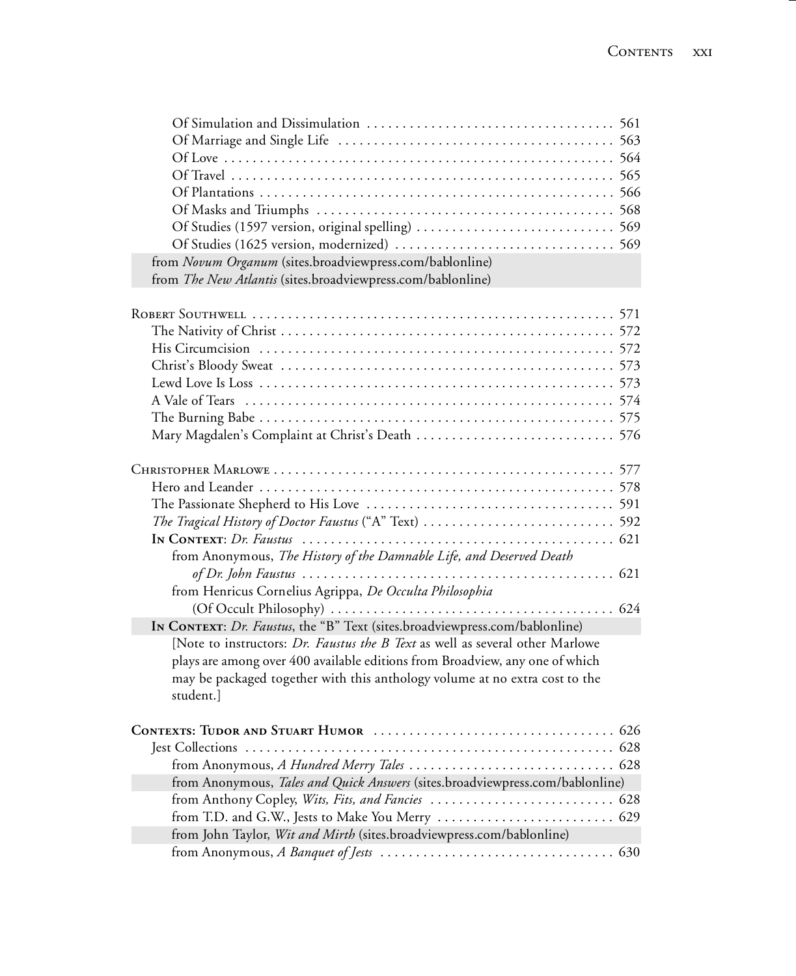| from Novum Organum (sites.broadviewpress.com/bablonline)                      |     |
|-------------------------------------------------------------------------------|-----|
| from The New Atlantis (sites.broadviewpress.com/bablonline)                   |     |
|                                                                               |     |
|                                                                               |     |
|                                                                               |     |
|                                                                               |     |
|                                                                               |     |
|                                                                               |     |
|                                                                               |     |
|                                                                               |     |
|                                                                               |     |
|                                                                               |     |
|                                                                               |     |
|                                                                               |     |
|                                                                               |     |
|                                                                               |     |
| from Anonymous, The History of the Damnable Life, and Deserved Death          |     |
|                                                                               |     |
| from Henricus Cornelius Agrippa, De Occulta Philosophia                       |     |
|                                                                               |     |
| IN CONTEXT: Dr. Faustus, the "B" Text (sites.broadviewpress.com/bablonline)   |     |
| [Note to instructors: Dr. Faustus the B Text as well as several other Marlowe |     |
| plays are among over 400 available editions from Broadview, any one of which  |     |
| may be packaged together with this anthology volume at no extra cost to the   |     |
| student.]                                                                     |     |
|                                                                               |     |
| <b>Lest Collections</b>                                                       | 628 |
|                                                                               |     |
| from Anonymous, Tales and Quick Answers (sites.broadviewpress.com/bablonline) |     |
|                                                                               |     |
|                                                                               |     |
| from John Taylor, Wit and Mirth (sites.broadviewpress.com/bablonline)         |     |
|                                                                               |     |
|                                                                               |     |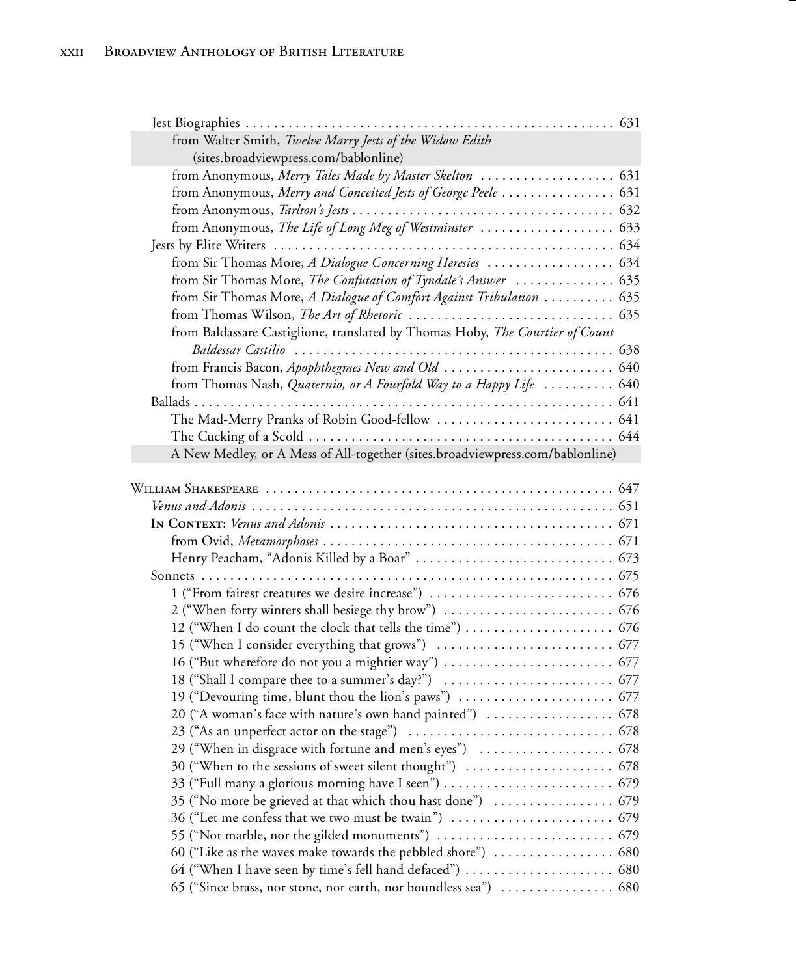| from Walter Smith, Twelve Marry Jests of the Widow Edith                      |  |
|-------------------------------------------------------------------------------|--|
| (sites.broadviewpress.com/bablonline)                                         |  |
|                                                                               |  |
| from Anonymous, Merry and Conceited Jests of George Peele  631                |  |
|                                                                               |  |
| from Anonymous, The Life of Long Meg of Westminster  633                      |  |
|                                                                               |  |
|                                                                               |  |
| from Sir Thomas More, The Confutation of Tyndale's Answer  635                |  |
| from Sir Thomas More, A Dialogue of Comfort Against Tribulation  635          |  |
|                                                                               |  |
| from Baldassare Castiglione, translated by Thomas Hoby, The Courtier of Count |  |
|                                                                               |  |
| from Francis Bacon, Apophthegmes New and Old  640                             |  |
| from Thomas Nash, Quaternio, or A Fourfold Way to a Happy Life  640           |  |
|                                                                               |  |
| The Mad-Merry Pranks of Robin Good-fellow  641                                |  |
|                                                                               |  |
| A New Medley, or A Mess of All-together (sites.broadviewpress.com/bablonline) |  |
|                                                                               |  |
|                                                                               |  |
|                                                                               |  |
|                                                                               |  |
|                                                                               |  |
|                                                                               |  |
|                                                                               |  |
|                                                                               |  |
|                                                                               |  |
|                                                                               |  |
|                                                                               |  |
|                                                                               |  |
|                                                                               |  |
| 20 ("A woman's face with nature's own hand painted")  678                     |  |
|                                                                               |  |
| 29 ("When in disgrace with fortune and men's eyes")  678                      |  |
|                                                                               |  |
| 33 ("Full many a glorious morning have I seen")  679                          |  |
|                                                                               |  |
|                                                                               |  |
|                                                                               |  |
|                                                                               |  |
|                                                                               |  |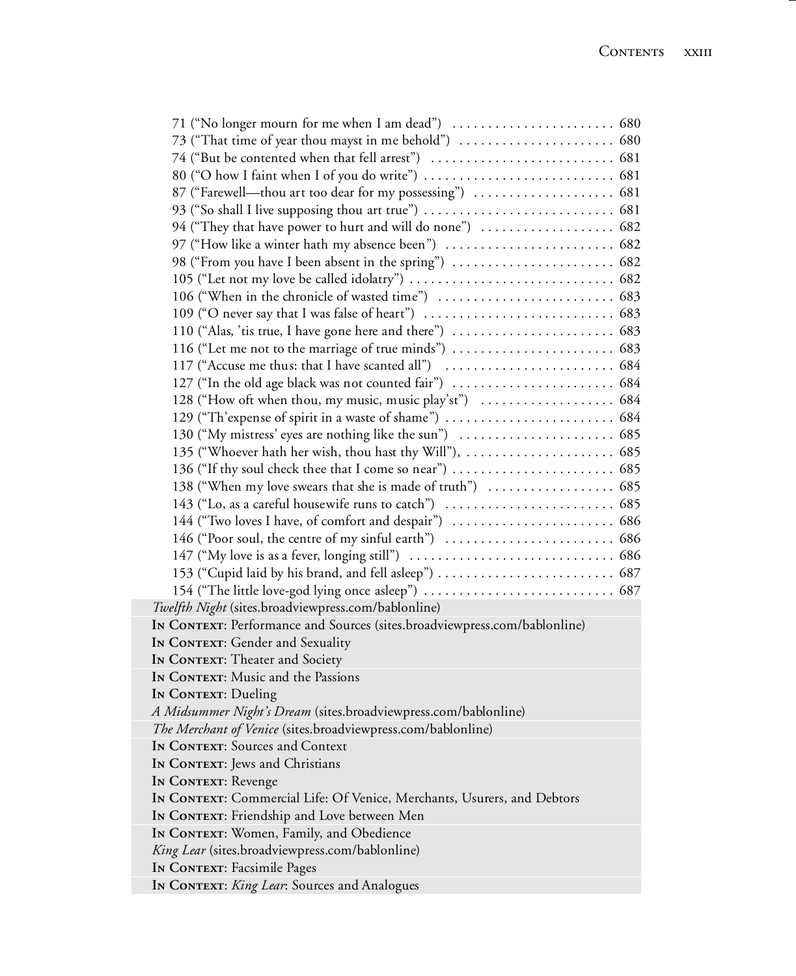| 71 ("No longer mourn for me when I am dead")  680                         |  |
|---------------------------------------------------------------------------|--|
|                                                                           |  |
|                                                                           |  |
|                                                                           |  |
| 87 ("Farewell—thou art too dear for my possessing")  681                  |  |
|                                                                           |  |
| 94 ("They that have power to hurt and will do none")  682                 |  |
|                                                                           |  |
| 98 ("From you have I been absent in the spring")  682                     |  |
|                                                                           |  |
|                                                                           |  |
|                                                                           |  |
|                                                                           |  |
|                                                                           |  |
|                                                                           |  |
| 127 ("In the old age black was not counted fair")  684                    |  |
|                                                                           |  |
|                                                                           |  |
|                                                                           |  |
|                                                                           |  |
|                                                                           |  |
| 138 ("When my love swears that she is made of truth")  685                |  |
|                                                                           |  |
|                                                                           |  |
|                                                                           |  |
|                                                                           |  |
|                                                                           |  |
|                                                                           |  |
| Twelfth Night (sites.broadviewpress.com/bablonline)                       |  |
| IN CONTEXT: Performance and Sources (sites.broadviewpress.com/bablonline) |  |
| IN CONTEXT: Gender and Sexuality                                          |  |
| IN CONTEXT: Theater and Society                                           |  |
| IN CONTEXT: Music and the Passions                                        |  |
| IN CONTEXT: Dueling                                                       |  |
| A Midsummer Night's Dream (sites.broadviewpress.com/bablonline)           |  |
| The Merchant of Venice (sites.broadviewpress.com/bablonline)              |  |
| In CONTEXT: Sources and Context                                           |  |
| IN CONTEXT: Jews and Christians                                           |  |
| <b>IN CONTEXT: Revenge</b>                                                |  |
| In CONTEXT: Commercial Life: Of Venice, Merchants, Usurers, and Debtors   |  |
| In CONTEXT: Friendship and Love between Men                               |  |
| In CONTEXT: Women, Family, and Obedience                                  |  |
| King Lear (sites.broadviewpress.com/bablonline)                           |  |
| IN CONTEXT: Facsimile Pages                                               |  |
| In CONTEXT: King Lear: Sources and Analogues                              |  |
|                                                                           |  |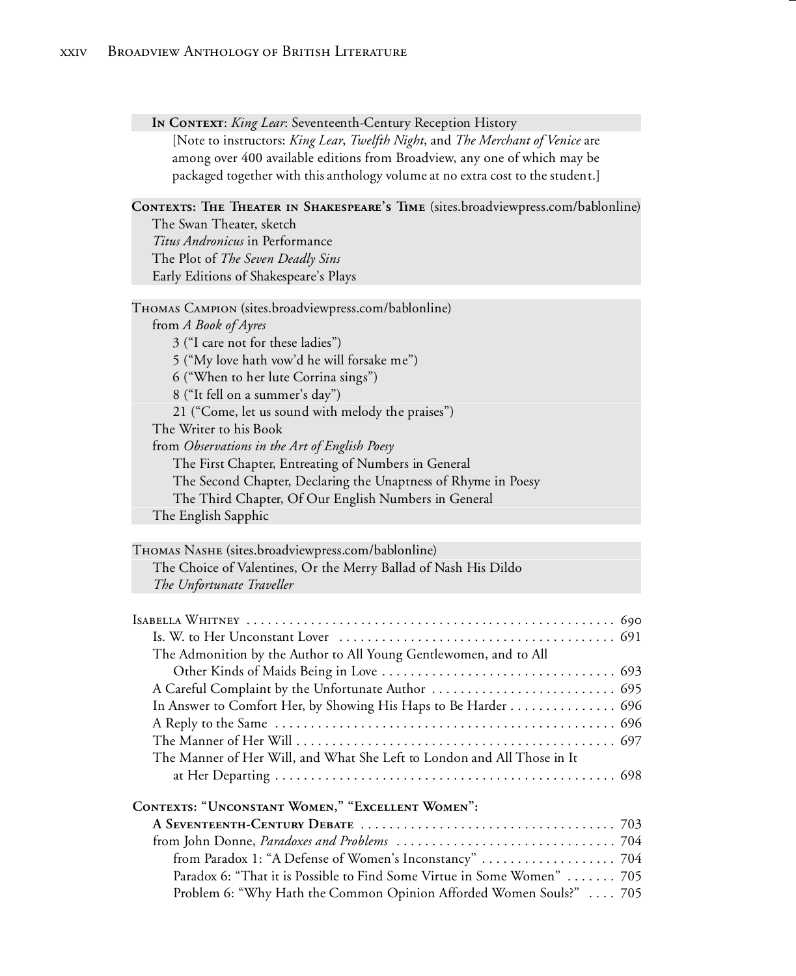#### **In Context**: *King Lear*: Seventeenth-Century Reception History

[Note to instructors: *King Lear*, *Twelfth Night*, and *The Merchant of Venice* are among over 400 available editions from Broadview, any one of which may be packaged together with this anthology volume at no extra cost to the student.]

#### **Contexts: The Theater in Shakespeare's Time** (sites.broadviewpress.com/bablonline)

The Swan Theater, sketch *Titus Andronicus* in Performance The Plot of *The Seven Deadly Sins* Early Editions of Shakespeare's Plays

Thomas Campion (sites.broadviewpress.com/bablonline) from *A Book of Ayres* 3 ("I care not for these ladies") 5 ("My love hath vow'd he will forsake me") 6 ("When to her lute Corrina sings") 8 ("It fell on a summer's day") 21 ("Come, let us sound with melody the praises") The Writer to his Book from *Observations in the Art of English Poesy* The First Chapter, Entreating of Numbers in General The Second Chapter, Declaring the Unaptness of Rhyme in Poesy The Third Chapter, Of Our English Numbers in General The English Sapphic

| THOMAS NASHE (sites.broadviewpress.com/bablonline)              |  |
|-----------------------------------------------------------------|--|
| The Choice of Valentines, Or the Merry Ballad of Nash His Dildo |  |
| The Unfortunate Traveller                                       |  |

| The Admonition by the Author to All Young Gentlewomen, and to All       |
|-------------------------------------------------------------------------|
|                                                                         |
|                                                                         |
| In Answer to Comfort Her, by Showing His Haps to Be Harder 696          |
|                                                                         |
|                                                                         |
| The Manner of Her Will, and What She Left to London and All Those in It |
|                                                                         |
| CONTEXTS: "UNCONSTANT WOMEN," "EXCELLENT WOMEN":                        |
|                                                                         |

| Paradox 6: "That it is Possible to Find Some Virtue in Some Women"  705 |  |
|-------------------------------------------------------------------------|--|
| Problem 6: "Why Hath the Common Opinion Afforded Women Souls?"  705     |  |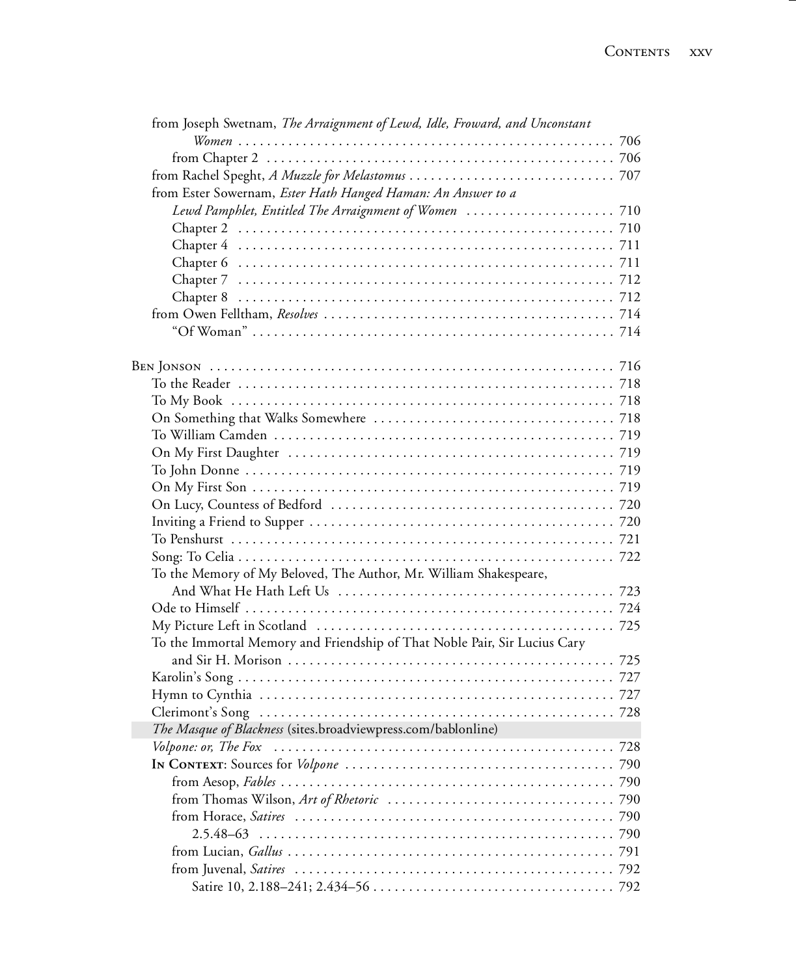| from Joseph Swetnam, The Arraignment of Lewd, Idle, Froward, and Unconstant |  |
|-----------------------------------------------------------------------------|--|
|                                                                             |  |
|                                                                             |  |
|                                                                             |  |
| from Ester Sowernam, Ester Hath Hanged Haman: An Answer to a                |  |
|                                                                             |  |
|                                                                             |  |
|                                                                             |  |
|                                                                             |  |
|                                                                             |  |
|                                                                             |  |
|                                                                             |  |
|                                                                             |  |
|                                                                             |  |
|                                                                             |  |
|                                                                             |  |
|                                                                             |  |
|                                                                             |  |
|                                                                             |  |
|                                                                             |  |
|                                                                             |  |
|                                                                             |  |
|                                                                             |  |
|                                                                             |  |
|                                                                             |  |
|                                                                             |  |
| To the Memory of My Beloved, The Author, Mr. William Shakespeare,           |  |
|                                                                             |  |
|                                                                             |  |
|                                                                             |  |
| To the Immortal Memory and Friendship of That Noble Pair, Sir Lucius Cary   |  |
|                                                                             |  |
|                                                                             |  |
|                                                                             |  |
|                                                                             |  |
| The Masque of Blackness (sites.broadviewpress.com/bablonline)               |  |
|                                                                             |  |
|                                                                             |  |
|                                                                             |  |
|                                                                             |  |
|                                                                             |  |
|                                                                             |  |
|                                                                             |  |
|                                                                             |  |
|                                                                             |  |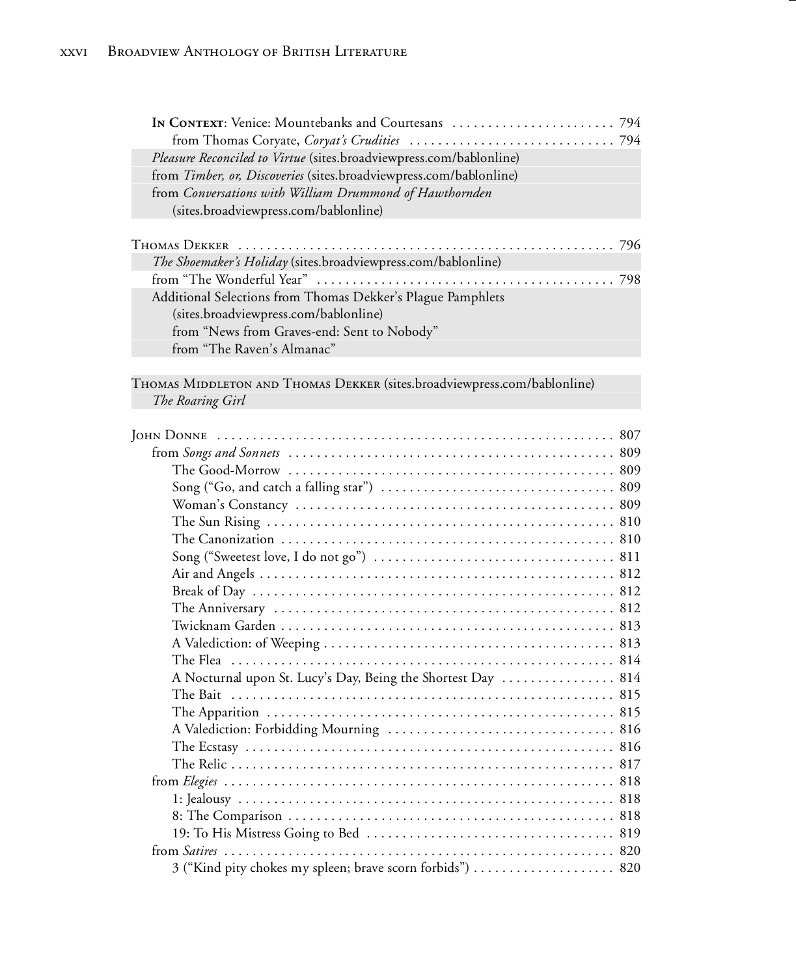| Pleasure Reconciled to Virtue (sites.broadviewpress.com/bablonline) |  |
|---------------------------------------------------------------------|--|
| from Timber, or, Discoveries (sites.broadviewpress.com/bablonline)  |  |
| from Conversations with William Drummond of Hawthornden             |  |
| (sites.broadviewpress.com/bablonline)                               |  |
|                                                                     |  |
|                                                                     |  |
| The Shoemaker's Holiday (sites.broadviewpress.com/bablonline)       |  |
|                                                                     |  |
| Additional Selections from Thomas Dekker's Plague Pamphlets         |  |
| (sites.broadviewpress.com/bablonline)                               |  |
| from "News from Graves-end: Sent to Nobody"                         |  |
|                                                                     |  |
| from "The Raven's Almanac"                                          |  |

THOMAS MIDDLETON AND THOMAS DEKKER (sites.broadviewpress.com/bablonline) *The Roaring Girl*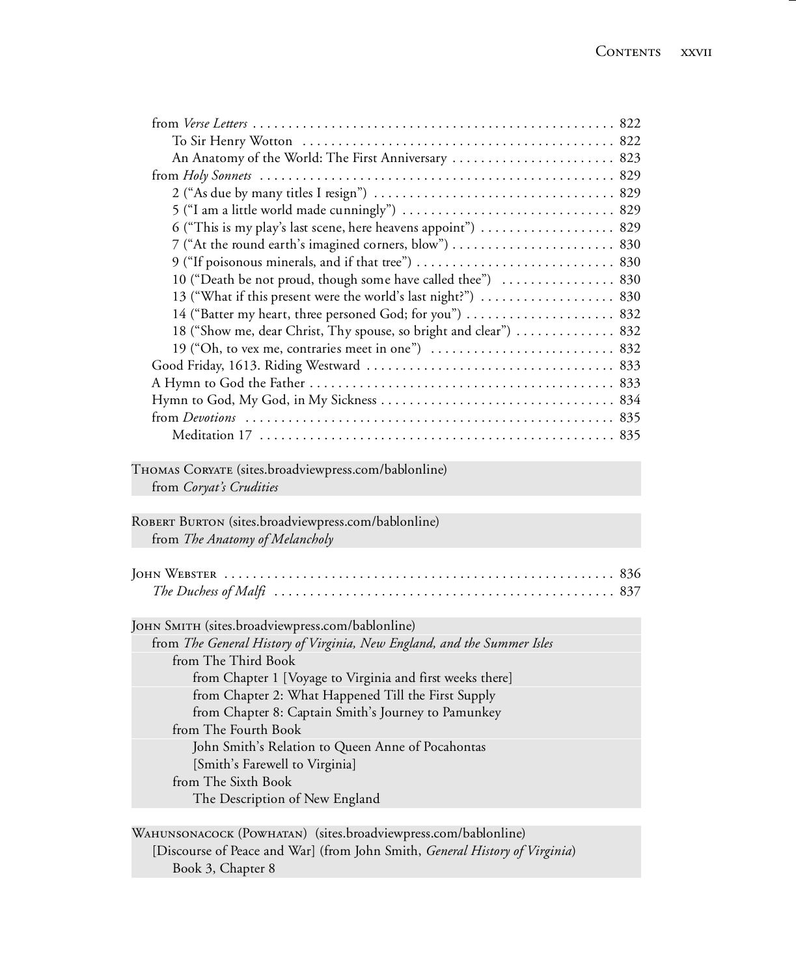| An Anatomy of the World: The First Anniversary  823                     |  |
|-------------------------------------------------------------------------|--|
|                                                                         |  |
|                                                                         |  |
|                                                                         |  |
| 6 ("This is my play's last scene, here heavens appoint")  829           |  |
|                                                                         |  |
|                                                                         |  |
| 10 ("Death be not proud, though some have called thee")  830            |  |
| 13 ("What if this present were the world's last night?")  830           |  |
| 14 ("Batter my heart, three personed God; for you")  832                |  |
| 18 ("Show me, dear Christ, Thy spouse, so bright and clear")  832       |  |
|                                                                         |  |
|                                                                         |  |
|                                                                         |  |
|                                                                         |  |
|                                                                         |  |
|                                                                         |  |
|                                                                         |  |
| THOMAS CORYATE (sites.broadviewpress.com/bablonline)                    |  |
| from Coryat's Crudities                                                 |  |
|                                                                         |  |
| ROBERT BURTON (sites.broadviewpress.com/bablonline)                     |  |
| from The Anatomy of Melancholy                                          |  |
|                                                                         |  |
|                                                                         |  |
|                                                                         |  |
| JOHN SMITH (sites.broadviewpress.com/bablonline)                        |  |
| from The General History of Virginia, New England, and the Summer Isles |  |
| from The Third Book                                                     |  |
| from Chapter 1 [Voyage to Virginia and first weeks there]               |  |
| from Chapter 2: What Happened Till the First Supply                     |  |
| from Chapter 8: Captain Smith's Journey to Pamunkey                     |  |
| from The Fourth Book                                                    |  |
| John Smith's Relation to Queen Anne of Pocahontas                       |  |
| [Smith's Farewell to Virginia]                                          |  |
| from The Sixth Book<br>The Description of New England                   |  |

Wahunsonacock (Powhatan) (sites.broadviewpress.com/bablonline) [Discourse of Peace and War] (from John Smith, *General History of Virginia*) Book 3, Chapter 8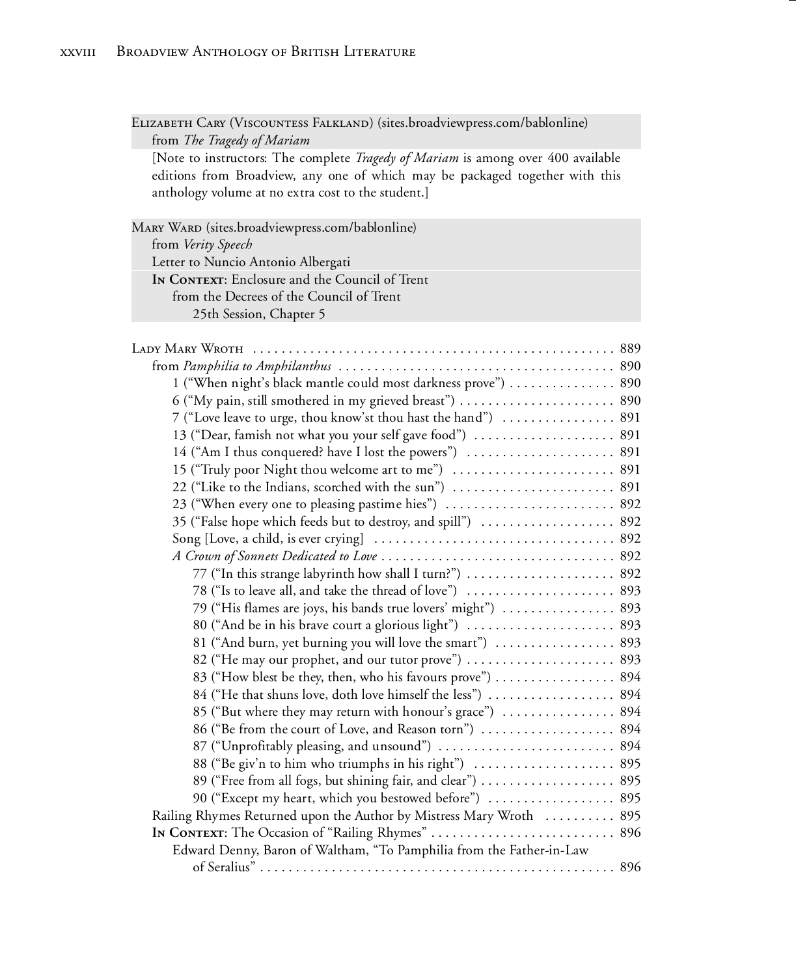ELIZABETH CARY (VISCOUNTESS FALKLAND) (sites.broadviewpress.com/bablonline) from *The Tragedy of Mariam*

[Note to instructors: The complete *Tragedy of Mariam* is among over 400 available editions from Broadview, any one of which may be packaged together with this anthology volume at no extra cost to the student.]

Mary Ward (sites.broadviewpress.com/bablonline) from *Verity Speech* Letter to Nuncio Antonio Albergati In CONTEXT: Enclosure and the Council of Trent from the Decrees of the Council of Trent 25th Session, Chapter 5

| 1 ("When night's black mantle could most darkness prove")  890       |  |
|----------------------------------------------------------------------|--|
| 6 ("My pain, still smothered in my grieved breast")  890             |  |
| 7 ("Love leave to urge, thou know'st thou hast the hand")  891       |  |
| 13 ("Dear, famish not what you your self gave food")  891            |  |
|                                                                      |  |
| 15 ("Truly poor Night thou welcome art to me")  891                  |  |
|                                                                      |  |
| 23 ("When every one to pleasing pastime hies")  892                  |  |
| 35 ("False hope which feeds but to destroy, and spill")  892         |  |
|                                                                      |  |
|                                                                      |  |
| 77 ("In this strange labyrinth how shall I turn?")  892              |  |
|                                                                      |  |
| 79 ("His flames are joys, his bands true lovers' might")  893        |  |
|                                                                      |  |
| 81 ("And burn, yet burning you will love the smart")  893            |  |
| 82 ("He may our prophet, and our tutor prove")  893                  |  |
| 83 ("How blest be they, then, who his favours prove")  894           |  |
| 84 ("He that shuns love, doth love himself the less")  894           |  |
| 85 ("But where they may return with honour's grace")  894            |  |
|                                                                      |  |
| 87 ("Unprofitably pleasing, and unsound")  894                       |  |
|                                                                      |  |
| 89 ("Free from all fogs, but shining fair, and clear")  895          |  |
| 90 ("Except my heart, which you bestowed before")  895               |  |
| Railing Rhymes Returned upon the Author by Mistress Mary Wroth  895  |  |
| In CONTEXT: The Occasion of "Railing Rhymes"  896                    |  |
| Edward Denny, Baron of Waltham, "To Pamphilia from the Father-in-Law |  |
|                                                                      |  |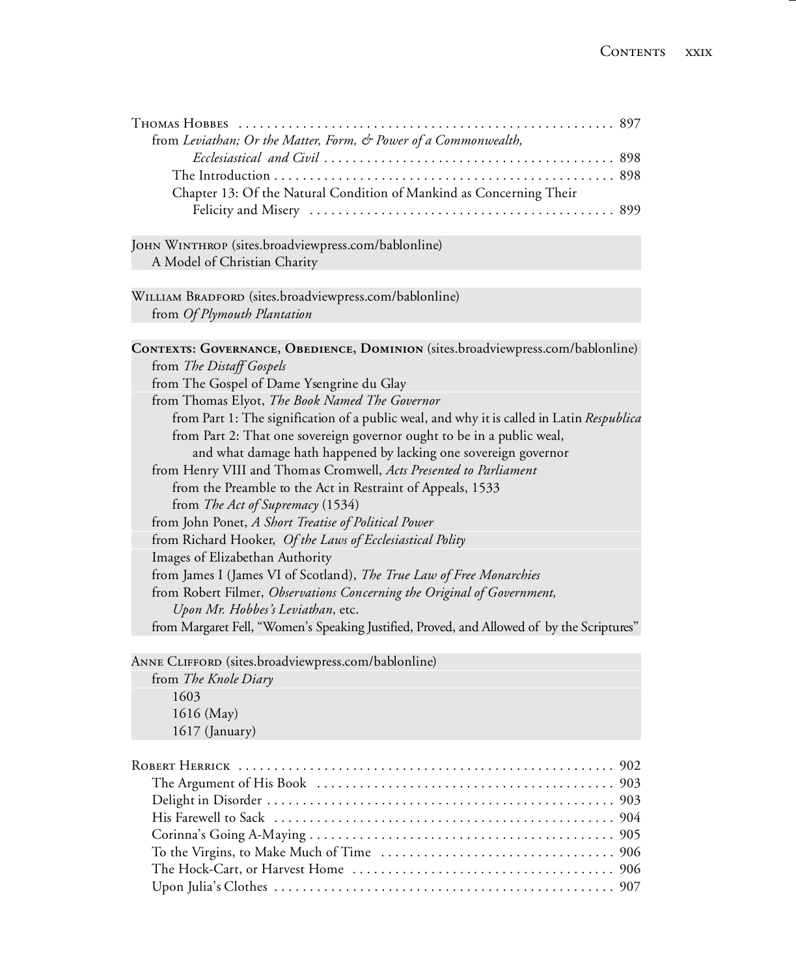| from Leviathan; Or the Matter, Form, & Power of a Commonwealth,                            |
|--------------------------------------------------------------------------------------------|
|                                                                                            |
|                                                                                            |
| Chapter 13: Of the Natural Condition of Mankind as Concerning Their                        |
|                                                                                            |
| JOHN WINTHROP (sites.broadviewpress.com/bablonline)                                        |
| A Model of Christian Charity                                                               |
| WILLIAM BRADFORD (sites.broadviewpress.com/bablonline)                                     |
| from Of Plymouth Plantation                                                                |
|                                                                                            |
| CONTEXTS: GOVERNANCE, OBEDIENCE, DOMINION (sites.broadviewpress.com/bablonline)            |
| from The Distaff Gospels                                                                   |
| from The Gospel of Dame Ysengrine du Glay                                                  |
| from Thomas Elyot, The Book Named The Governor                                             |
| from Part 1: The signification of a public weal, and why it is called in Latin Respublica  |
| from Part 2: That one sovereign governor ought to be in a public weal,                     |
| and what damage hath happened by lacking one sovereign governor                            |
| from Henry VIII and Thomas Cromwell, Acts Presented to Parliament                          |
| from the Preamble to the Act in Restraint of Appeals, 1533                                 |
| from The Act of Supremacy (1534)                                                           |
| from John Ponet, A Short Treatise of Political Power                                       |
| from Richard Hooker, Of the Laws of Ecclesiastical Polity                                  |
| Images of Elizabethan Authority                                                            |
| from James I (James VI of Scotland), The True Law of Free Monarchies                       |
| from Robert Filmer, Observations Concerning the Original of Government,                    |
| Upon Mr. Hobbes's Leviathan, etc.                                                          |
| from Margaret Fell, "Women's Speaking Justified, Proved, and Allowed of by the Scriptures" |
|                                                                                            |

Anne Clifford (sites.broadviewpress.com/bablonline)

from *The Knole Diary* 1603 1616 (May) 1617 (January)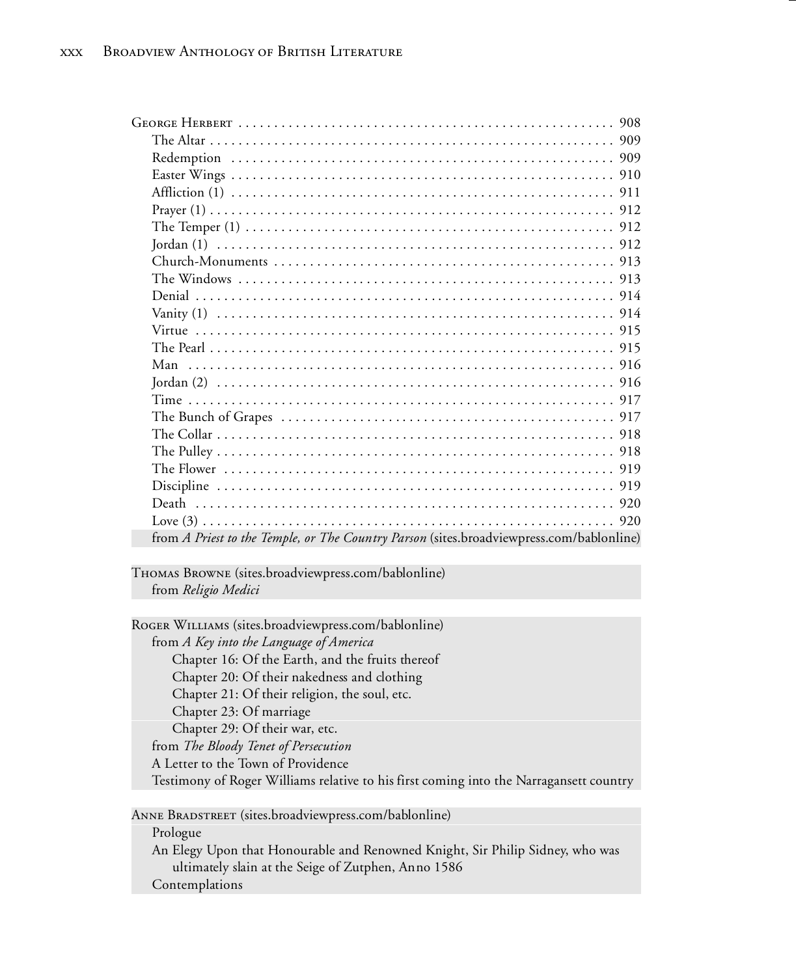| from A Priest to the Temple, or The Country Parson (sites.broadviewpress.com/bablonline) |
|------------------------------------------------------------------------------------------|

Thomas Browne (sites.broadviewpress.com/bablonline) from *Religio Medici*

Roger Williams (sites.broadviewpress.com/bablonline) from *A Key into the Language of America* Chapter 16: Of the Earth, and the fruits thereof Chapter 20: Of their nakedness and clothing Chapter 21: Of their religion, the soul, etc. Chapter 23: Of marriage Chapter 29: Of their war, etc. from *The Bloody Tenet of Persecution* A Letter to the Town of Providence Testimony of Roger Williams relative to his first coming into the Narragansett country

Anne Bradstreet (sites.broadviewpress.com/bablonline)

Prologue

An Elegy Upon that Honourable and Renowned Knight, Sir Philip Sidney, who was ultimately slain at the Seige of Zutphen, Anno 1586 Contemplations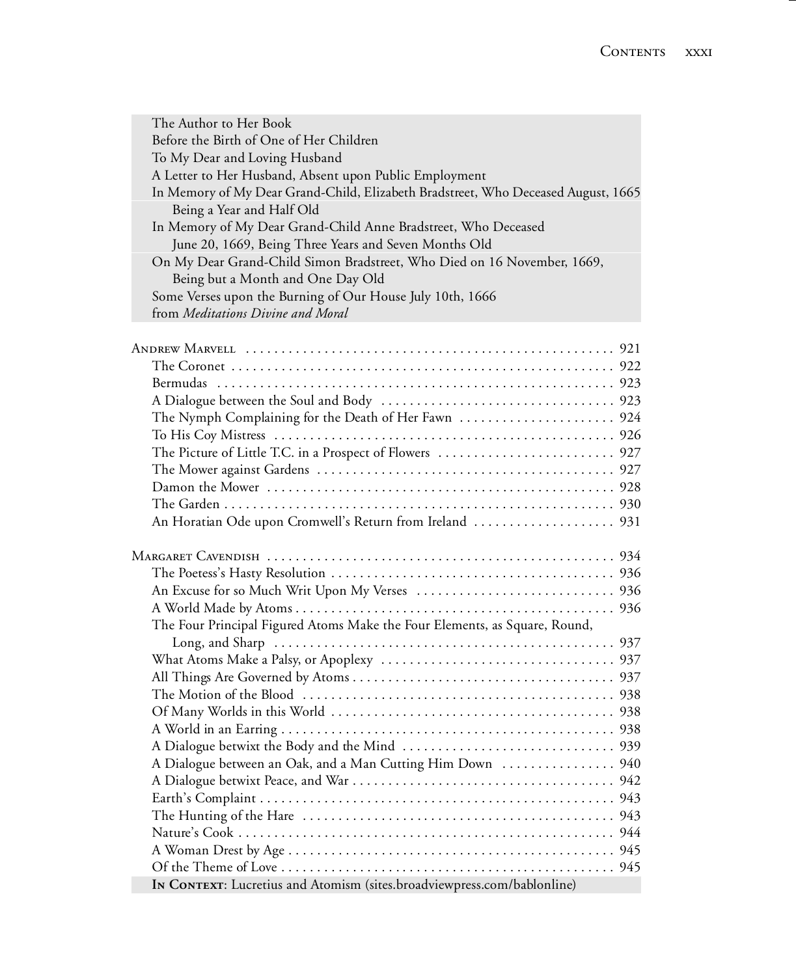| The Author to Her Book                                                            |
|-----------------------------------------------------------------------------------|
| Before the Birth of One of Her Children                                           |
| To My Dear and Loving Husband                                                     |
| A Letter to Her Husband, Absent upon Public Employment                            |
| In Memory of My Dear Grand-Child, Elizabeth Bradstreet, Who Deceased August, 1665 |
| Being a Year and Half Old                                                         |
| In Memory of My Dear Grand-Child Anne Bradstreet, Who Deceased                    |
| June 20, 1669, Being Three Years and Seven Months Old                             |
| On My Dear Grand-Child Simon Bradstreet, Who Died on 16 November, 1669,           |
| Being but a Month and One Day Old                                                 |
| Some Verses upon the Burning of Our House July 10th, 1666                         |
| from Meditations Divine and Moral                                                 |
|                                                                                   |
|                                                                                   |
|                                                                                   |
|                                                                                   |
|                                                                                   |
|                                                                                   |
|                                                                                   |
|                                                                                   |
|                                                                                   |
|                                                                                   |
|                                                                                   |
|                                                                                   |
| An Horatian Ode upon Cromwell's Return from Ireland  931                          |
|                                                                                   |
|                                                                                   |
|                                                                                   |
|                                                                                   |
|                                                                                   |
| The Four Principal Figured Atoms Make the Four Elements, as Square, Round,        |
|                                                                                   |
|                                                                                   |
|                                                                                   |
|                                                                                   |
|                                                                                   |
|                                                                                   |
|                                                                                   |
| A Dialogue between an Oak, and a Man Cutting Him Down  940                        |
|                                                                                   |
|                                                                                   |
|                                                                                   |
|                                                                                   |
|                                                                                   |
|                                                                                   |

**In Context**: Lucretius and Atomism (sites.broadviewpress.com/bablonline)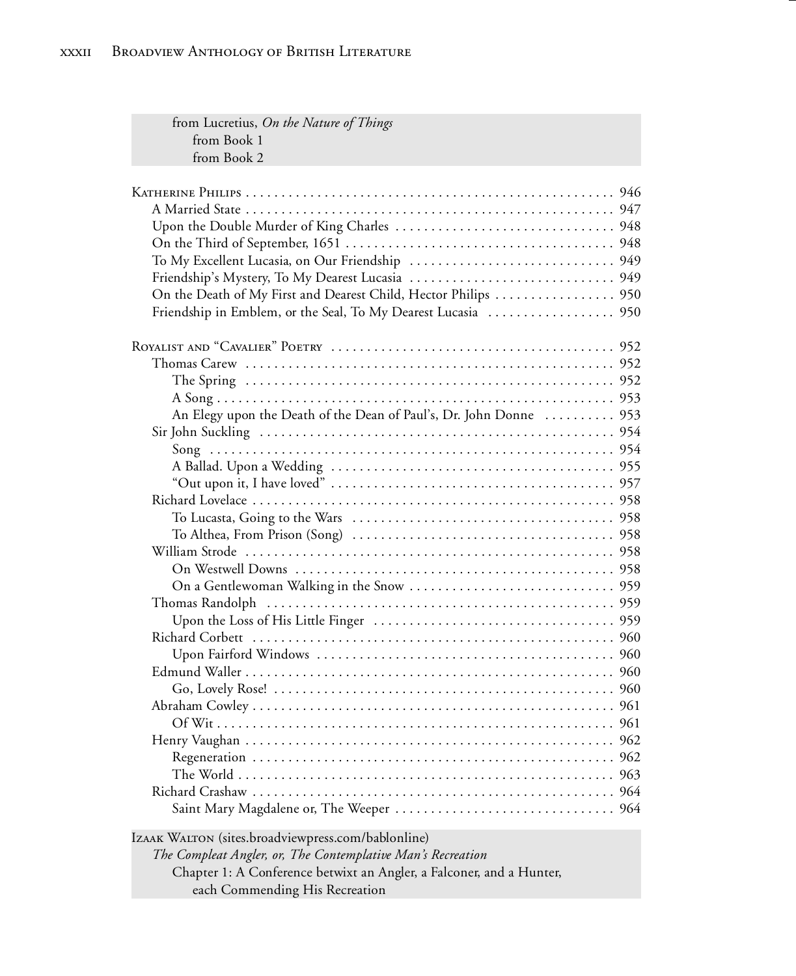| from Lucretius, On the Nature of Things                              |  |
|----------------------------------------------------------------------|--|
| from Book 1                                                          |  |
| from Book 2                                                          |  |
|                                                                      |  |
|                                                                      |  |
|                                                                      |  |
|                                                                      |  |
|                                                                      |  |
|                                                                      |  |
|                                                                      |  |
| On the Death of My First and Dearest Child, Hector Philips  950      |  |
|                                                                      |  |
|                                                                      |  |
|                                                                      |  |
|                                                                      |  |
|                                                                      |  |
|                                                                      |  |
| An Elegy upon the Death of the Dean of Paul's, Dr. John Donne  953   |  |
|                                                                      |  |
|                                                                      |  |
|                                                                      |  |
|                                                                      |  |
|                                                                      |  |
|                                                                      |  |
|                                                                      |  |
|                                                                      |  |
|                                                                      |  |
|                                                                      |  |
|                                                                      |  |
|                                                                      |  |
|                                                                      |  |
|                                                                      |  |
|                                                                      |  |
|                                                                      |  |
|                                                                      |  |
|                                                                      |  |
|                                                                      |  |
|                                                                      |  |
|                                                                      |  |
|                                                                      |  |
|                                                                      |  |
|                                                                      |  |
| IZAAK WALTON (sites.broadviewpress.com/bablonline)                   |  |
| The Compleat Angler, or, The Contemplative Man's Recreation          |  |
| Chapter 1: A Conference betwixt an Angler, a Falconer, and a Hunter, |  |
| each Commending His Recreation                                       |  |
|                                                                      |  |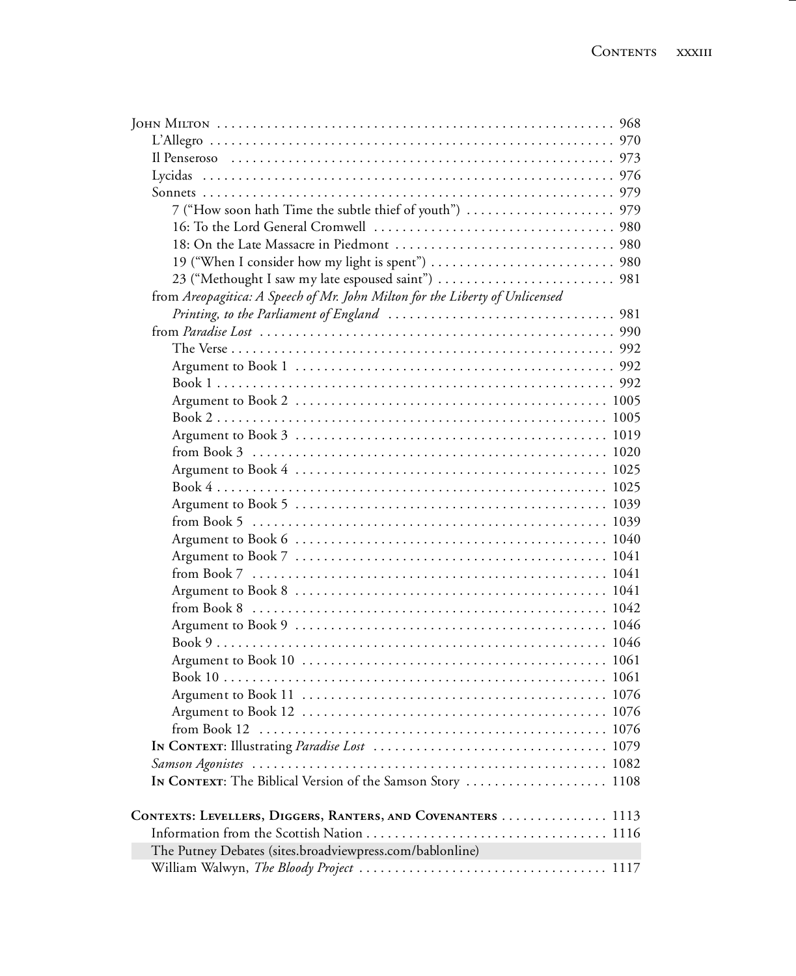| 23 ("Methought I saw my late espoused saint")  981                           |
|------------------------------------------------------------------------------|
| from Areopagitica: A Speech of Mr. John Milton for the Liberty of Unlicensed |
|                                                                              |
|                                                                              |
|                                                                              |
|                                                                              |
|                                                                              |
|                                                                              |
|                                                                              |
|                                                                              |
|                                                                              |
|                                                                              |
|                                                                              |
|                                                                              |
|                                                                              |
|                                                                              |
|                                                                              |
|                                                                              |
|                                                                              |
|                                                                              |
|                                                                              |
|                                                                              |
|                                                                              |
|                                                                              |
|                                                                              |
|                                                                              |
|                                                                              |
|                                                                              |
|                                                                              |
| IN CONTEXT: The Biblical Version of the Samson Story  1108                   |
|                                                                              |
| CONTEXTS: LEVELLERS, DIGGERS, RANTERS, AND COVENANTERS  1113                 |
|                                                                              |
| The Putney Debates (sites.broadviewpress.com/bablonline)                     |
|                                                                              |